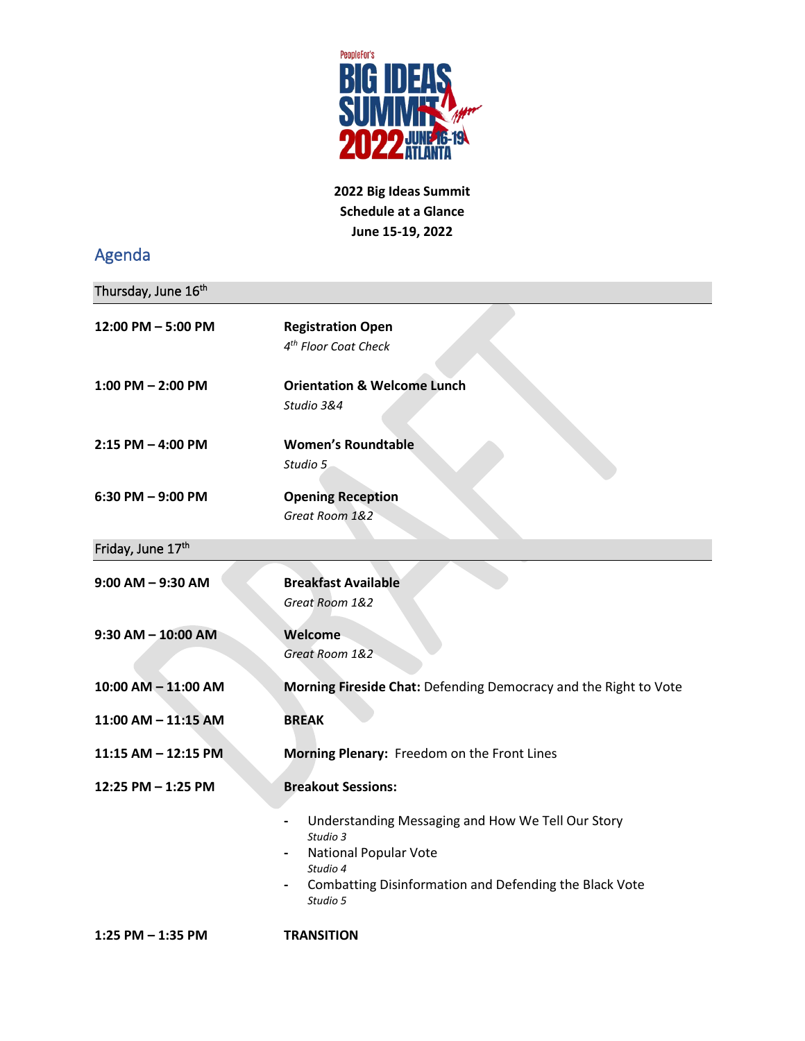

**2022 Big Ideas Summit Schedule at a Glance June 15-19, 2022**

## Agenda

| Thursday, June 16th    |                                                                                                                                                                                                   |
|------------------------|---------------------------------------------------------------------------------------------------------------------------------------------------------------------------------------------------|
| 12:00 PM - 5:00 PM     | <b>Registration Open</b><br>4 <sup>th</sup> Floor Coat Check                                                                                                                                      |
| $1:00$ PM $- 2:00$ PM  | <b>Orientation &amp; Welcome Lunch</b><br>Studio 3&4                                                                                                                                              |
| $2:15$ PM $-$ 4:00 PM  | <b>Women's Roundtable</b><br>Studio 5                                                                                                                                                             |
| 6:30 PM - 9:00 PM      | <b>Opening Reception</b><br>Great Room 1&2                                                                                                                                                        |
| Friday, June 17th      |                                                                                                                                                                                                   |
| $9:00$ AM $-$ 9:30 AM  | <b>Breakfast Available</b><br>Great Room 1&2                                                                                                                                                      |
| $9:30$ AM $-$ 10:00 AM | Welcome<br>Great Room 1&2                                                                                                                                                                         |
| 10:00 AM - 11:00 AM    | Morning Fireside Chat: Defending Democracy and the Right to Vote                                                                                                                                  |
| 11:00 AM - 11:15 AM    | <b>BREAK</b>                                                                                                                                                                                      |
| 11:15 AM - 12:15 PM    | Morning Plenary: Freedom on the Front Lines                                                                                                                                                       |
| 12:25 PM - 1:25 PM     | <b>Breakout Sessions:</b>                                                                                                                                                                         |
|                        | Understanding Messaging and How We Tell Our Story<br>Studio 3<br><b>National Popular Vote</b><br>Studio 4<br>Combatting Disinformation and Defending the Black Vote<br>$\blacksquare$<br>Studio 5 |
| 1:25 PM - 1:35 PM      | <b>TRANSITION</b>                                                                                                                                                                                 |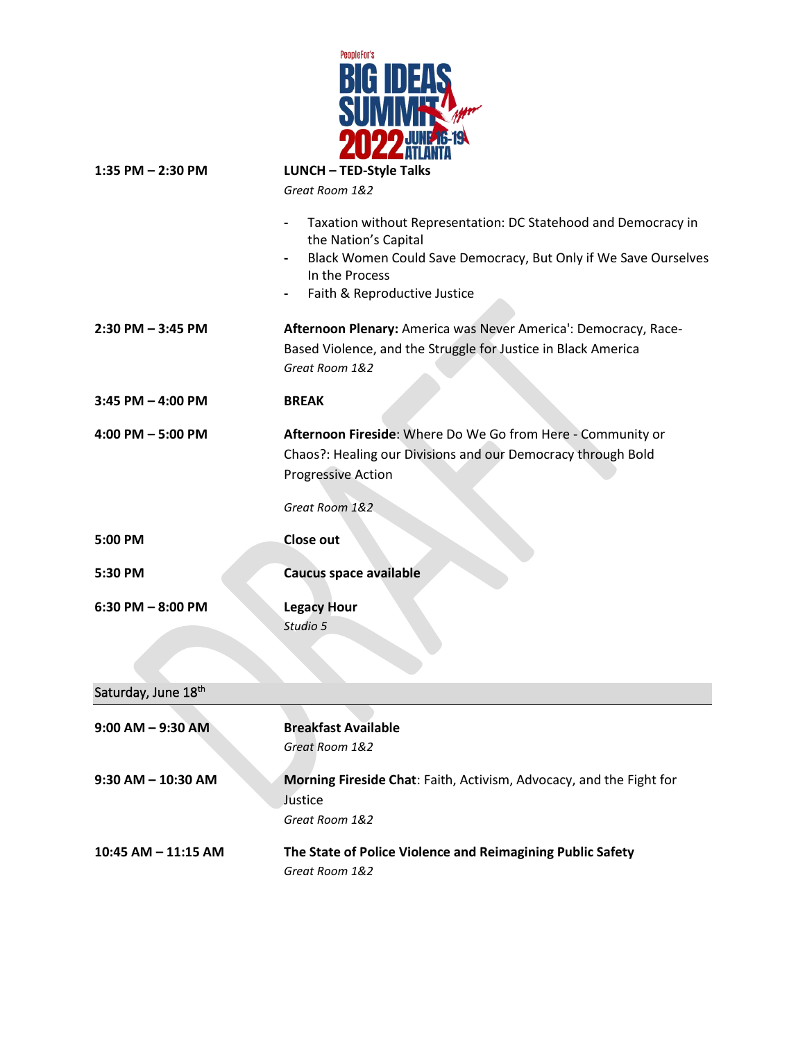

| 1:35 PM $-$ 2:30 PM    | <b>LUNCH - TED-Style Talks</b>                                                                                                                                                                                                          |
|------------------------|-----------------------------------------------------------------------------------------------------------------------------------------------------------------------------------------------------------------------------------------|
|                        | Great Room 1&2                                                                                                                                                                                                                          |
|                        | Taxation without Representation: DC Statehood and Democracy in<br>the Nation's Capital<br>Black Women Could Save Democracy, But Only if We Save Ourselves<br>$\overline{\phantom{a}}$<br>In the Process<br>Faith & Reproductive Justice |
| $2:30$ PM $- 3:45$ PM  | Afternoon Plenary: America was Never America': Democracy, Race-<br>Based Violence, and the Struggle for Justice in Black America<br>Great Room 1&2                                                                                      |
| $3:45$ PM $-$ 4:00 PM  | <b>BREAK</b>                                                                                                                                                                                                                            |
| $4:00$ PM $-5:00$ PM   | Afternoon Fireside: Where Do We Go from Here - Community or<br>Chaos?: Healing our Divisions and our Democracy through Bold<br><b>Progressive Action</b>                                                                                |
|                        | Great Room 1&2                                                                                                                                                                                                                          |
| 5:00 PM                | <b>Close out</b>                                                                                                                                                                                                                        |
| 5:30 PM                | Caucus space available                                                                                                                                                                                                                  |
| $6:30$ PM $-8:00$ PM   | <b>Legacy Hour</b><br>Studio 5                                                                                                                                                                                                          |
| Saturday, June 18th    |                                                                                                                                                                                                                                         |
| $9:00$ AM $-$ 9:30 AM  | <b>Breakfast Available</b><br>Great Room 1&2                                                                                                                                                                                            |
| $9:30$ AM $-$ 10:30 AM | Morning Fireside Chat: Faith, Activism, Advocacy, and the Fight for<br>Justice<br>Great Room 1&2                                                                                                                                        |
| 10:45 AM - 11:15 AM    | The State of Police Violence and Reimagining Public Safety<br>Great Room 1&2                                                                                                                                                            |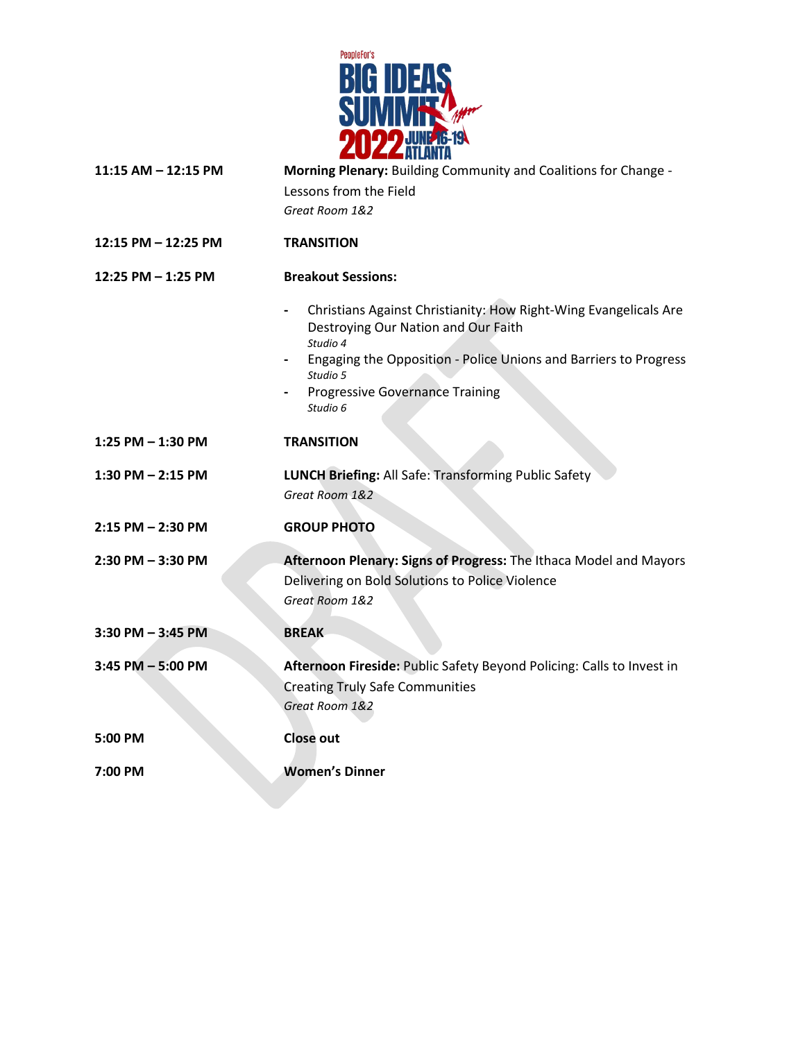

| 11:15 AM - 12:15 PM   | Morning Plenary: Building Community and Coalitions for Change -<br>Lessons from the Field<br>Great Room 1&2                                                                                                                                               |
|-----------------------|-----------------------------------------------------------------------------------------------------------------------------------------------------------------------------------------------------------------------------------------------------------|
| 12:15 PM - 12:25 PM   | <b>TRANSITION</b>                                                                                                                                                                                                                                         |
| 12:25 PM - 1:25 PM    | <b>Breakout Sessions:</b>                                                                                                                                                                                                                                 |
|                       | Christians Against Christianity: How Right-Wing Evangelicals Are<br>Destroying Our Nation and Our Faith<br>Studio 4<br>Engaging the Opposition - Police Unions and Barriers to Progress<br>Studio 5<br><b>Progressive Governance Training</b><br>Studio 6 |
| $1:25$ PM $-1:30$ PM  | <b>TRANSITION</b>                                                                                                                                                                                                                                         |
| $1:30$ PM $- 2:15$ PM | LUNCH Briefing: All Safe: Transforming Public Safety<br>Great Room 1&2                                                                                                                                                                                    |
| 2:15 PM - 2:30 PM     | <b>GROUP PHOTO</b>                                                                                                                                                                                                                                        |
| 2:30 PM - 3:30 PM     | Afternoon Plenary: Signs of Progress: The Ithaca Model and Mayors<br>Delivering on Bold Solutions to Police Violence<br>Great Room 1&2                                                                                                                    |
| 3:30 PM - 3:45 PM     | <b>BREAK</b>                                                                                                                                                                                                                                              |
| 3:45 PM - 5:00 PM     | Afternoon Fireside: Public Safety Beyond Policing: Calls to Invest in<br><b>Creating Truly Safe Communities</b><br>Great Room 1&2                                                                                                                         |
| 5:00 PM               | <b>Close out</b>                                                                                                                                                                                                                                          |
| 7:00 PM               | <b>Women's Dinner</b>                                                                                                                                                                                                                                     |